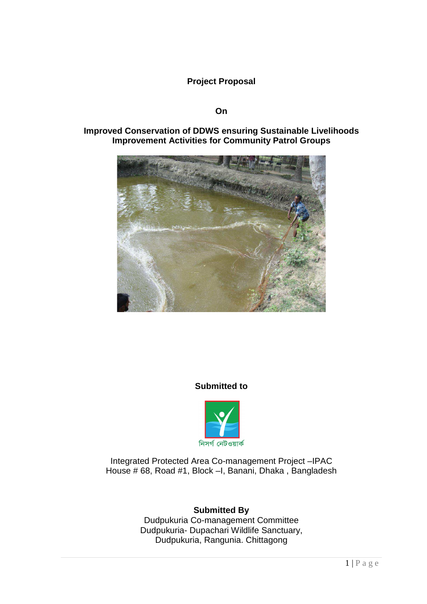**Project Proposal**

## **On**

## **Improved Conservation of DDWS ensuring Sustainable Livelihoods Improvement Activities for Community Patrol Groups**



## **Submitted to**



Integrated Protected Area Co-management Project –IPAC House # 68, Road #1, Block –I, Banani, Dhaka , Bangladesh

# **Submitted By**

Dudpukuria Co-management Committee Dudpukuria- Dupachari Wildlife Sanctuary, Dudpukuria, Rangunia. Chittagong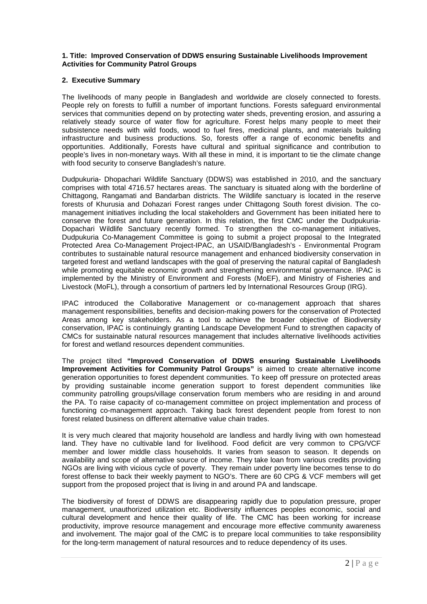### **1. Title: Improved Conservation of DDWS ensuring Sustainable Livelihoods Improvement Activities for Community Patrol Groups**

## **2. Executive Summary**

The livelihoods of many people in Bangladesh and worldwide are closely connected to forests. People rely on forests to fulfill a number of important functions. Forests safeguard environmental services that communities depend on by protecting water sheds, preventing erosion, and assuring a relatively steady source of water flow for agriculture. Forest helps many people to meet their subsistence needs with wild foods, wood to fuel fires, medicinal plants, and materials building infrastructure and business productions. So, forests offer a range of economic benefits and opportunities. Additionally, Forests have cultural and spiritual significance and contribution to people's lives in non-monetary ways. With all these in mind, it is important to tie the climate change with food security to conserve Bangladesh's nature.

Dudpukuria- Dhopachari Wildlife Sanctuary (DDWS) was established in 2010, and the sanctuary comprises with total 4716.57 hectares areas. The sanctuary is situated along with the borderline of Chittagong, Rangamati and Bandarban districts. The Wildlife sanctuary is located in the reserve forests of Khurusia and Dohazari Forest ranges under Chittagong South forest division. The comanagement initiatives including the local stakeholders and Government has been initiated here to conserve the forest and future generation. In this relation, the first CMC under the Dudpukuria-Dopachari Wildlife Sanctuary recently formed. To strengthen the co-management initiatives, Dudpukuria Co-Management Committee is going to submit a project proposal to the Integrated Protected Area Co-Management Project-IPAC, an USAID/Bangladesh's - Environmental Program contributes to sustainable natural resource management and enhanced biodiversity conservation in targeted forest and wetland landscapes with the goal of preserving the natural capital of Bangladesh while promoting equitable economic growth and strengthening environmental governance. IPAC is implemented by the Ministry of Environment and Forests (MoEF), and Ministry of Fisheries and Livestock (MoFL), through a consortium of partners led by International Resources Group (IRG).

IPAC introduced the Collaborative Management or co-management approach that shares management responsibilities, benefits and decision-making powers for the conservation of Protected Areas among key stakeholders. As a tool to achieve the broader objective of Biodiversity conservation, IPAC is continuingly granting Landscape Development Fund to strengthen capacity of CMCs for sustainable natural resources management that includes alternative livelihoods activities for forest and wetland resources dependent communities.

The project tilted **"Improved Conservation of DDWS ensuring Sustainable Livelihoods Improvement Activities for Community Patrol Groups"** is aimed to create alternative income generation opportunities to forest dependent communities. To keep off pressure on protected areas by providing sustainable income generation support to forest dependent communities like community patrolling groups/village conservation forum members who are residing in and around the PA. To raise capacity of co-management committee on project implementation and process of functioning co-management approach. Taking back forest dependent people from forest to non forest related business on different alternative value chain trades.

It is very much cleared that majority household are landless and hardly living with own homestead land. They have no cultivable land for livelihood. Food deficit are very common to CPG/VCF member and lower middle class households. It varies from season to season. It depends on availability and scope of alternative source of income. They take loan from various credits providing NGOs are living with vicious cycle of poverty. They remain under poverty line becomes tense to do forest offense to back their weekly payment to NGO's. There are 60 CPG & VCF members will get support from the proposed project that is living in and around PA and landscape.

The biodiversity of forest of DDWS are disappearing rapidly due to population pressure, proper management, unauthorized utilization etc. Biodiversity influences peoples economic, social and cultural development and hence their quality of life. The CMC has been working for increase productivity, improve resource management and encourage more effective community awareness and involvement. The major goal of the CMC is to prepare local communities to take responsibility for the long-term management of natural resources and to reduce dependency of its uses.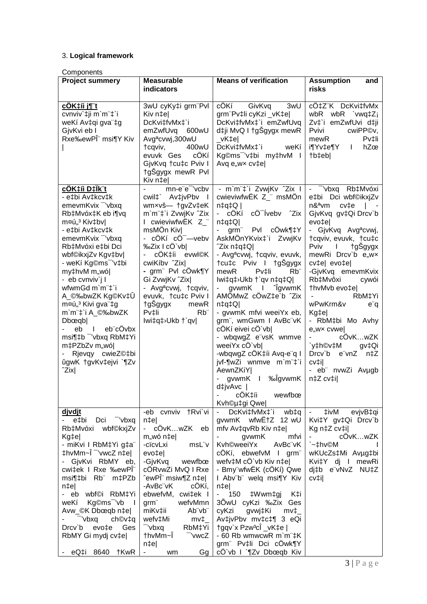## 3. **Logical framework**

**Components** 

| <b>Project summery</b>                                                                                                                                                                                                                                                                                                                                                                                                                                                                                                                                | <b>Measurable</b>                                                                                                                                                                                                                                                                                                                                                                                                        | <b>Means of verification</b>                                                                                                                                                                                                                                                                                                                                                                                                                                                                                                                                                                                                                                                                             | <b>Assumption</b><br>and                                                                                                                                                                                                                                                                                                                                                                                                                                                                                              |
|-------------------------------------------------------------------------------------------------------------------------------------------------------------------------------------------------------------------------------------------------------------------------------------------------------------------------------------------------------------------------------------------------------------------------------------------------------------------------------------------------------------------------------------------------------|--------------------------------------------------------------------------------------------------------------------------------------------------------------------------------------------------------------------------------------------------------------------------------------------------------------------------------------------------------------------------------------------------------------------------|----------------------------------------------------------------------------------------------------------------------------------------------------------------------------------------------------------------------------------------------------------------------------------------------------------------------------------------------------------------------------------------------------------------------------------------------------------------------------------------------------------------------------------------------------------------------------------------------------------------------------------------------------------------------------------------------------------|-----------------------------------------------------------------------------------------------------------------------------------------------------------------------------------------------------------------------------------------------------------------------------------------------------------------------------------------------------------------------------------------------------------------------------------------------------------------------------------------------------------------------|
|                                                                                                                                                                                                                                                                                                                                                                                                                                                                                                                                                       | indicators                                                                                                                                                                                                                                                                                                                                                                                                               |                                                                                                                                                                                                                                                                                                                                                                                                                                                                                                                                                                                                                                                                                                          | risks                                                                                                                                                                                                                                                                                                                                                                                                                                                                                                                 |
| <u>cÖK‡íi j¶ t</u><br>cvnviv'#ji m'm"#'i<br>weKí Av‡qi gva"‡g<br>GjvKvi eb I<br>Rxe‰ewPÎ <sup>"</sup> msi¶Y Kiv                                                                                                                                                                                                                                                                                                                                                                                                                                       | 3wU cyKy‡i grm"Pvl<br>Kiv n‡el<br>DcKvi‡fvMx‡`i<br>emZwfUvq 600wU<br>Avg <sup>a</sup> cvwj,300wU<br>400wU<br>tcqviv,<br>cÖKí<br>evuvk Ges<br>GjvKvq †cu‡c Pviv I<br>tgSgygx mewR Pvl<br>Kiv n‡e                                                                                                                                                                                                                          | cÖKí GivKvq<br>3wU<br>grm"Pv‡li cyKzi _vK‡e <br>DcKvi‡fvMx‡`i emZwfUvq<br>d‡ji MvQ I †gŠgygx mewR<br>_vK‡e <br>DcKvi‡fvMx‡`i<br>weKí<br>Kg©ms <sup>-</sup> 'v‡bi my‡hvM I<br>Avg e, wx cv‡e                                                                                                                                                                                                                                                                                                                                                                                                                                                                                                              | cÖ‡Z"K DcKvi‡fvMx<br>wbR wbR `vwq‡Z <sub>i</sub><br>Zvį`i emZwfUvi dįji<br>Pvivi<br>cwiPP©v,<br>mewR<br>Pv‡li<br>i¶Yv‡e¶Y<br>$\mathbf{I}$<br>hZœ<br>†b‡eb                                                                                                                                                                                                                                                                                                                                                             |
| <u>cÖK‡íi D‡Ïk¨t</u><br>- e‡bi Av‡kcv‡k<br>emevmKvix <sup>-</sup> 'vbxq<br>Rb‡Mvóx‡K eb i¶vq<br>m¤ú" <sup>3</sup> Kiv‡bv <br>- e‡bi Av‡kcv‡k<br>emevmKvix <sup>-</sup> 'vbxq<br>Rb‡Mvóxi e‡bi Dci<br>wbf©ikxjZv Kgv‡bv <br>- weKí Kg©ms <sup>-</sup> 'v‡bi<br>my‡hvM m"wó <br>- eb cvnviv`j l<br>wfwmGd m`m¨‡`i<br>A_©‰bwZK Kg©Kv‡Ü<br>m¤ú" <sup>3</sup> Kivi gva"‡g<br>m`m¨‡`i A_©‰bwZK<br>D <sub>b</sub> œqb<br>l eb¨cÖvbx<br>eb<br>msi¶‡b <sup>-</sup> 'vbxq RbM‡Yi<br>m‡PZbZv m"wó <br>- Rjevqy cwieZ©‡bi<br>ûgwK †gvKv‡ejvi `¶Zv<br>$\hat{Z}$ ix | mn-e"e" 'vcbv<br>cwil‡` Av‡jvPbv I<br>wmxvš- tgvZv‡eK<br>m`m <sup>"+</sup> i ZvwjKv ^Zix<br>I cwieviwfwEK Z_"<br>msMÖn Kiv<br>- cÖKí cÖ <sup>-</sup> —vebv<br>%2ix I cÖ`vb <br>cÖK‡íi evwl©K<br>cwiKíbv <sup>2</sup> Zix<br>- grm <sup>"</sup> Pvl cÔwk¶Y<br>Gi ZvwjKv ^Zix <br>- Avg <sup>a</sup> cvwj, †cqviv,<br>evuvk, †cu‡c Pviv I<br>†gŠgygx<br>mewR<br>R <sub>b</sub><br>Pv‡li<br>lwi‡q‡ <sup>&gt;</sup> Ukb †`qv | - m`m¨‡`i ZvwjKv ^Zix I  <br>cwieviwfwEK Z_" msMÖn<br>$ $ Q‡p‡n<br>cÖ <sup>-</sup> Ívebv ^Zix<br>cÖKí<br>$ Q$ ‡p‡n<br>Pvl cÖwk¶‡Y<br>grm"<br>AskMÖnYKvix‡`i ZvwjKv<br>^Zix n‡q‡Q <br>- Avg <sup>a</sup> cvwj, †cqviv, evuvk,<br>tcu‡c Pviv I<br>†gSgygx<br>R <sub>b</sub> "<br>mewR<br>$Pv$ <sup><math>\ddagger</math>li</sup><br>lwi‡q‡>Ukb †`qv n‡q‡Q <br>gvwmK I <sup>n</sup> gvwmK<br>AMÖMwZ cÖwZ‡e`b ^Zix<br>$n \downarrow q \downarrow Q$<br>- gvwmK mfvi weeiYx eb,<br>grm", wmGwm I AvBc"vK<br>cÖKí eivei cÖ`vb <br>- wbqwgZ e"vsK wnmve<br>weeiYx cÖ`vb <br>-wbqwgZ cÖK‡íi Avq-e"q I<br>jvf-¶wZi wnmve m`m"‡`i<br>AewnZKiY <br>gvwmK I ‰ÎgvwmK<br>d‡jvAvc  <br>cÖK‡íi<br>wewfbœ<br>Kvh©µ‡gi Qwe | - <sup>-</sup> 'vbxq Rb‡Mvóxi<br>e‡bi Dci wbf©ikxjZv<br>n&ªvm<br>cv‡e<br>GjvKvq gv‡Qi Drcv`b<br>evo‡e <br>- GjvKvq Avg <sup>a</sup> cvwj,<br>tcqviv, evuvk, tcutc<br>tgSgygx<br>Pviv<br>$\mathbf{I}$<br>mewRi Drcv`b e"wx<br>cv‡e  evo‡e <br>-GjvKvq emevmKvix<br>Rb‡Mvôxi<br>cywói<br>thvMvb evo‡e <br>RbM‡Yi<br>wPwKrm&v<br>e q<br>Kg‡e <br>- RbM‡bi Mo Avhy<br>e,wx cvwe<br>cÖvKwZK<br>`y‡h©v‡M<br>gv‡Qi<br>Drcv`b e"vnZ n‡Z<br>$cv$ <sup><math>\ddagger</math></sup> $\parallel$<br>- eb" nvwZi Avµgb<br>n‡Z cv‡i |
| <u>divdit</u><br>- e‡bi<br>Dci vbxq<br>Rb‡Mvóxi wbf©kxjZv<br>Kg‡e <br>- miKvi I RbM‡Yi g‡a <sup>"</sup><br>‡hvMm∼Î <sup>-</sup> 'vwcZ n‡e∣<br>- GjvKvi RbMY eb,<br>cwi‡ek I Rxe ‰ewPÎ"<br>msi¶‡bi Rb m‡PZb<br>n‡e <br>- eb wbf©i RbM‡Yi<br>Kg©ms <sup>-</sup> 'vb I<br>weKí<br>Avw_©K Dbœqb n‡e <br>"vbxq<br>ch©v‡q<br>Drcv'b evo‡e<br>Ges<br>RbMY Gi mydj cv‡e <br>- eQ‡i 8640 †KwR                                                                                                                                                                  | -eb cvnviv †Rvi`vi<br>$n \neq e$<br>- cÖvKwZK eb<br>m,,wó n‡e <br>-cïcvLxi<br>msL"v<br>evo‡e <br>-GjvKvq<br>wewfbœ<br>cÖRvwZi MvQ I Rxe<br>ˆewPΨ msiw¶Z n‡e <br>-AvBc"vK<br>cÖKí,<br>ebwefvM, cwi‡ek I<br>grm <sup>"</sup><br>wefvMmn<br>Ab"vb"<br>miKv‡ii<br>wefv‡Mi<br>$mv_{\perp}$<br>"vbxq<br>RbM‡Yi<br>†hvMm~Ï<br>-'vwcZ<br>$n \uparrow e$<br>wm<br>$Gg$  <br><b>Harry Corp.</b>                                    | DcKvi‡fvMx‡`i wb‡q<br>gywmK wfwE+Z 12 wU<br>mfv Av‡qvRb Kiv n‡e <br>gvwmK<br>mfvi<br>Kvh©weeiYx<br>AvBc"vK<br>cÖKí, ebwefvM I grm<br>wefv‡M cÖ`vb Kiv n‡e <br>- Bmy"wfwËK (cÖKí) Qwe<br>I Abv"b" welq msi¶Y Kiv<br>$n \neq e$<br>$-$ 150 $\pm$ Wwm $\pm$ gi<br>K‡i<br>30wU cyKzi ‰Zix Ges<br>cyKzi<br>gvwj‡Ki<br>$mv_{\perp}$<br>Av‡jvPbv mv‡c‡¶ 3 eQi<br>†gqv`x Pzw <sup>3</sup> cÎ _vK‡e  <br>- 60 Rb wmwcwR m`m"‡K<br>grm Pv‡li Dci cÖwk¶Y<br>cÔ`vb I `¶Zv Dbœqb Kiv                                                                                                                                                                                                                                  | ‡ivM<br>evjvB‡qi<br>$\sim 100$<br>Kvi‡Y gv‡Qi Drcv`b<br>Kg n‡Z cv‡i <br>cÔvKwZK<br>`~‡hv©M<br>wKUcZs‡Mi Avµg‡bi<br>Kvi‡Y dj I mewRi<br>dj‡b e"vNvZ NU‡Z<br>$cv$ ‡i $ $                                                                                                                                                                                                                                                                                                                                                |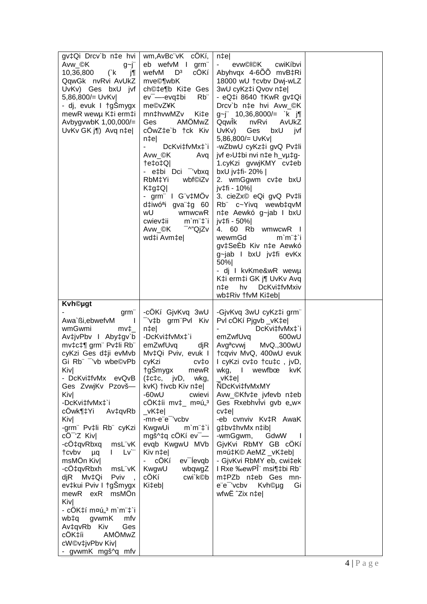| gv‡Qi Drcv`b n‡e hvi<br>Avw_©K<br>$g$ ~j"<br>10,36,800<br>(k)<br>j¶<br>QqwGk nvRvi AvUkZ<br>UvKv) Ges bxU jvf<br>5,86,800/= UvKv <br>- dj, evuk I †gSmygx<br>mewR wewµ K‡i erm‡i<br>AvbygvwbK 1,00,000/=<br>UvKv GK j¶) Avq n‡e                                                                                                                                                                                                                                                                                                                                                                                                                                            | wm, AvBc"vK cOKí,<br>eb wefvM I<br>grm"<br>wefvM<br>$\mathsf{D}^3$<br>cÖKí<br>mve©¶wbK<br>ch©‡e¶b Ki‡e Ges<br>Rb"<br>ev <sup>-</sup> -evq‡bi<br>me©vZ¥K<br>mn‡hvwMZv<br>Ki‡e<br>AMÖMwZ<br>Ges<br>cÖwZ‡e`b †ck Kiv<br>n‡el<br>DcKvi‡fvMx‡`i<br>Avw_©K<br>Avq<br> Q‡o‡Q<br>- e‡bi Dci <sup>-</sup> 'vbxq<br>RbM‡Yi<br>wbf©iZv<br>$K$ <sup><math>\downarrow</math><math>g</math><math>\downarrow</math><math>Q</math><math>\mid</math></sup><br>- grm" I G"v‡MÖv<br>d‡iwóªi gva"‡g 60<br>wU<br>wmwcwR<br>cwiev‡ii<br>$m'm''\ddagger i$<br>⊤^"QjZv<br>Avw_©K<br>wd‡i Avm‡e | $n \neq e$<br>evw©l©K<br>cwiKíbvi<br>Abyhvqx 4-600 mvB‡Ri<br>18000 wU †cvbv Dwj-wLZ<br>3wU cyKz‡i Qvov n‡el<br>- eQ‡i 8640 †KwR gv‡Qi<br>Drcv`b n‡e hvi Avw_©K<br>$g$ ~j" 10,36,8000/= `k j¶<br>Qqwlk<br>nvRvi<br>AvUkZ<br>UvKv)<br>bxU<br>Ges<br>jvf<br>5,86,800/= UvKv<br>-wZbwU cyKz‡i gvQ Pv‡li<br>jvf e>U‡bi nvi n‡e h_vµ‡g-<br>1.cyKzi gvwjKMY cv‡eb<br>bxU jv‡fi- 20%  <br>2. wmGgwm cv‡e bxU<br>jv‡fi - 10% <br>3. cieZx© eQi gvQ Pv‡li<br>Rb c~Yivq wewb‡qvM<br>n‡e Aewkó g~jab I bxU<br>jv‡fi - 50% <br>4. 60 Rb wmwcwR I<br>wewmGd<br>$m'm''\ddagger i$<br>gv‡SeEb Kiv n‡e Aewkó<br>g~jab I bxU jv‡fi evKx<br>50%<br>- dj I kvKme&wR wewµ<br>K‡i erm‡i GK j¶ UvKv Avq<br>$n \ddagger e$<br>hv DcKvi‡fvMxiv<br>wb‡Riv †fvM Ki‡eb |  |
|----------------------------------------------------------------------------------------------------------------------------------------------------------------------------------------------------------------------------------------------------------------------------------------------------------------------------------------------------------------------------------------------------------------------------------------------------------------------------------------------------------------------------------------------------------------------------------------------------------------------------------------------------------------------------|------------------------------------------------------------------------------------------------------------------------------------------------------------------------------------------------------------------------------------------------------------------------------------------------------------------------------------------------------------------------------------------------------------------------------------------------------------------------------------------------------------------------------------------------------------------------|--------------------------------------------------------------------------------------------------------------------------------------------------------------------------------------------------------------------------------------------------------------------------------------------------------------------------------------------------------------------------------------------------------------------------------------------------------------------------------------------------------------------------------------------------------------------------------------------------------------------------------------------------------------------------------------------------------------------------------------------|--|
| <b>Kvh©ugt</b><br>grm"<br>Awa`ßi,ebwefvM<br>$\mathbf{I}$<br>wmGwmi<br>$mv_{\perp}$<br>Av‡jvPbv I Aby‡gv`b<br>mv‡c‡¶ grm" Pv‡li Rb"<br>cyKzi Ges d‡ji evMvb<br>Gi Rb" - 'vb wbe©vPb<br>Kiv <br>- DcKvi‡fvMx evQvB<br>Ges ZvwjKv Pzovš-<br>Kiv <br>-DcKvi‡fvMx‡`i<br>cÖwk¶‡Yi<br>Av‡qvRb<br>Kiv <br>-grm" Pv‡li Rb" cyKzi<br>cÖ <sup>-</sup> 'Z Kiv <br>msL"vK<br>-cÖ‡qvRbxq<br>Lv`"<br>†cvbv<br>$\mathbf{L}$<br><b>u</b> q<br>msMÖn Kiv <br>-cÖ‡qvRbxh<br>msL"vK<br>Pviv<br>djR Mv‡Qi<br>ev‡kui Pviv I †gŠmygx<br>mewR exR msMÖn<br>Kiv <br>- cÖK‡í m¤ú"ª m`m¨‡`i<br>p‡dw<br>gvwmK<br>mfv<br>Av‡qvRb Kiv<br>Ges<br>AMÖMwZ<br>cOK‡íi<br>cW©v‡jvPbv Kiv <br>- gvwmK mgš^q mfv | -cÖKí GjvKvq 3wU<br>-'v‡b grm"Pvl Kiv<br>$n \uparrow e$<br>-DcKvi‡fvMx‡`i<br>emZwfUvq<br>djR<br>Mv‡Qi Pviv, evuk I<br>cyKzi<br>cv‡o<br>†gŠmygx<br>mewR<br>$(\pm c \pm c, \quad jvD, \quad wkg,$<br>kvK) †ivcb Kiv n‡e <br>$-60wU$<br>cwievi<br>cÖK‡íi mv‡_ m¤ú" <sup>3</sup><br>_vK‡e <br>-mn-e"e" 'vcbv<br>KwgwUi<br>$m'm''\ddagger i$<br>mgš^‡q cÖKí ev $\overline{\phantom{a}}$ -<br>evqb KwgwU MVb<br>Kiv n‡el<br>ev <sup>-</sup> levqb<br>cÖKí<br>KwgwU<br>wbqwgZ<br>cÖKí<br>cwi`k©b<br>Ki‡eb                                                                     | -GjvKvq 3wU cyKz‡i grm"<br>Pvl cÔKí Pjgvb _vK‡e <br>DcKvi‡fvMx‡`i<br>emZwfUvq<br>600wU<br>Avg <sup>a</sup> cvwj<br>MvQ.,300wU<br>†cqviv MvQ, 400wU evuk<br>I cyKzi cv‡o †cu‡c, jvD,<br>wewfbœ<br>wkg,<br>$\mathbf{I}$<br><b>kvK</b><br>vK‡el<br>NDcKvi‡fvMxMY<br>Avw_©Kfv‡e jvfevb n‡eb<br>Ges Rxebhvivi gvb e,wx<br>cv‡e <br>-eb cvnviv Kv‡R AwaK<br>g‡bv‡hvMx n‡ib <br>GdwW<br>-wmGgwm,<br>GjvKvi RbMY GB cÔKí<br>m¤ú‡K© AeMZ _vK‡eb <br>- GjvKvi RbMY eb, cwi‡ek<br>I Rxe ‰ewPÎ" msi¶‡bi Rb"<br>m‡PZb n‡eb Ges mn-<br>e"e" 'vcbv Kvh©µg<br>Gi<br>wfwË ^Zix n‡e                                                                                                                                                                          |  |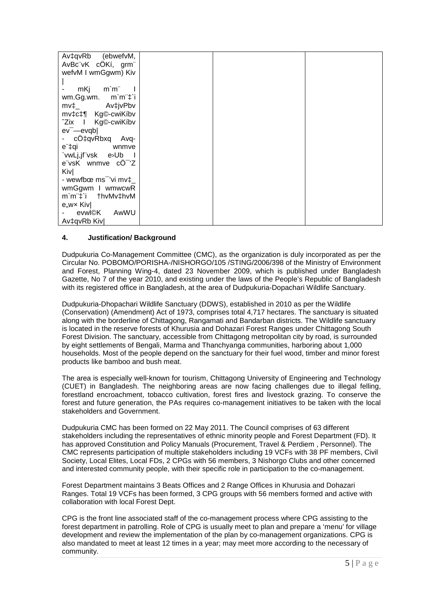| Av‡qvRb (ebwefvM,                 |  |  |
|-----------------------------------|--|--|
| AvBc"vK cÔKí, grm"                |  |  |
| wefvM I wmGgwm) Kiv               |  |  |
|                                   |  |  |
| m`m¨ l<br>mKj                     |  |  |
| wm.Gg.wm. m`m <sup>"+</sup> i     |  |  |
|                                   |  |  |
| mv‡c‡¶ Kg©-cwiKíbv                |  |  |
| <sup>2</sup> Zix I Kg©-cwiKíbv    |  |  |
| $ev$ <sup>-</sup> $-e$ $vd$       |  |  |
| - cÖ‡qvRbxq Avq-                  |  |  |
| e"‡qi<br><b>Example 19</b>        |  |  |
| `vwLj,jf"vsk e>Ub<br>$\sim$ 1     |  |  |
| e"vsK wnmve cO"'Z                 |  |  |
| Kiv                               |  |  |
| - wewfbœ $ms^-$ 'vi mv $\ddagger$ |  |  |
| wmGgwm I wmwcwR                   |  |  |
| m`m <sup>"</sup> ‡`i †hvMv‡hvM    |  |  |
| e <sub>"</sub> wx Kiv             |  |  |
| evwl©K<br>AwWU                    |  |  |
| Av‡qvRb Kiv                       |  |  |

## **4. Justification/ Background**

Dudpukuria Co-Management Committee (CMC), as the organization is duly incorporated as per the Circular No. POBOMO/PORISHA-/NISHORGO/105 /STING/2006/398 of the Ministry of Environment and Forest, Planning Wing-4, dated 23 November 2009, which is published under Bangladesh Gazette, No 7 of the year 2010, and existing under the laws of the People's Republic of Bangladesh with its registered office in Bangladesh, at the area of Dudpukuria-Dopachari Wildlife Sanctuary.

Dudpukuria-Dhopachari Wildlife Sanctuary (DDWS), established in 2010 as per the Wildlife (Conservation) (Amendment) Act of 1973, comprises total 4,717 hectares. The sanctuary is situated along with the borderline of Chittagong, Rangamati and Bandarban districts. The Wildlife sanctuary is located in the reserve forests of Khurusia and Dohazari Forest Ranges under Chittagong South Forest Division. The sanctuary, accessible from Chittagong metropolitan city by road, is surrounded by eight settlements of Bengali, Marma and Thanchyanga communities, harboring about 1,000 households. Most of the people depend on the sanctuary for their fuel wood, timber and minor forest products like bamboo and bush meat.

The area is especially well-known for tourism, Chittagong University of Engineering and Technology (CUET) in Bangladesh. The neighboring areas are now facing challenges due to illegal felling, forestland encroachment, tobacco cultivation, forest fires and livestock grazing. To conserve the forest and future generation, the PAs requires co-management initiatives to be taken with the local stakeholders and Government.

Dudpukuria CMC has been formed on 22 May 2011. The Council comprises of 63 different stakeholders including the representatives of ethnic minority people and Forest Department (FD). It has approved Constitution and Policy Manuals (Procurement, Travel & Perdiem , Personnel). The CMC represents participation of multiple stakeholders including 19 VCFs with 38 PF members, Civil Society, Local Elites, Local FDs, 2 CPGs with 56 members, 3 Nishorgo Clubs and other concerned and interested community people, with their specific role in participation to the co-management.

Forest Department maintains 3 Beats Offices and 2 Range Offices in Khurusia and Dohazari Ranges. Total 19 VCFs has been formed, 3 CPG groups with 56 members formed and active with collaboration with local Forest Dept.

CPG is the front line associated staff of the co-management process where CPG assisting to the forest department in patrolling. Role of CPG is usually meet to plan and prepare a 'menu' for village development and review the implementation of the plan by co-management organizations. CPG is also mandated to meet at least 12 times in a year; may meet more according to the necessary of community.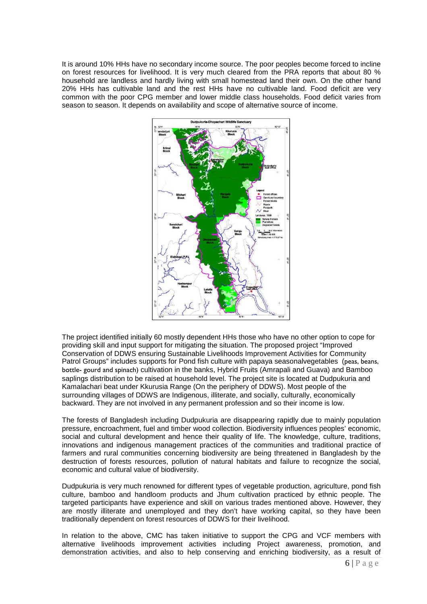It is around 10% HHs have no secondary income source. The poor peoples become forced to incline on forest resources for livelihood. It is very much cleared from the PRA reports that about 80 % household are landless and hardly living with small homestead land their own. On the other hand 20% HHs has cultivable land and the rest HHs have no cultivable land. Food deficit are very common with the poor CPG member and lower middle class households. Food deficit varies from season to season. It depends on availability and scope of alternative source of income.



The project identified initially 60 mostly dependent HHs those who have no other option to cope for providing skill and input support for mitigating the situation. The proposed project "Improved Conservation of DDWS ensuring Sustainable Livelihoods Improvement Activities for Community Patrol Groups" includes supports for Pond fish culture with papaya seasonalvegetables (peas, beans, bottle- gourd and spinach) cultivation in the banks, Hybrid Fruits (Amrapali and Guava) and Bamboo saplings distribution to be raised at household level. The project site is located at Dudpukuria and Kamalachari beat under Kkurusia Range (On the periphery of DDWS). Most people of the surrounding villages of DDWS are Indigenous, illiterate, and socially, culturally, economically backward. They are not involved in any permanent profession and so their income is low.

The forests of Bangladesh including Dudpukuria are disappearing rapidly due to mainly population pressure, encroachment, fuel and timber wood collection. Biodiversity influences peoples' economic, social and cultural development and hence their quality of life. The knowledge, culture, traditions, innovations and indigenous management practices of the communities and traditional practice of farmers and rural communities concerning biodiversity are being threatened in Bangladesh by the destruction of forests resources, pollution of natural habitats and failure to recognize the social. economic and cultural value of biodiversity.

Dudpukuria is very much renowned for different types of vegetable production, agriculture, pond fish culture, bamboo and handloom products and Jhum cultivation practiced by ethnic people. The targeted participants have experience and skill on various trades mentioned above. However, they are mostly illiterate and unemployed and they don't have working capital, so they have been traditionally dependent on forest resources of DDWS for their livelihood.

In relation to the above, CMC has taken initiative to support the CPG and VCF members with alternative livelihoods improvement activities including Project awareness, promotion, and demonstration activities, and also to help conserving and enriching biodiversity, as a result of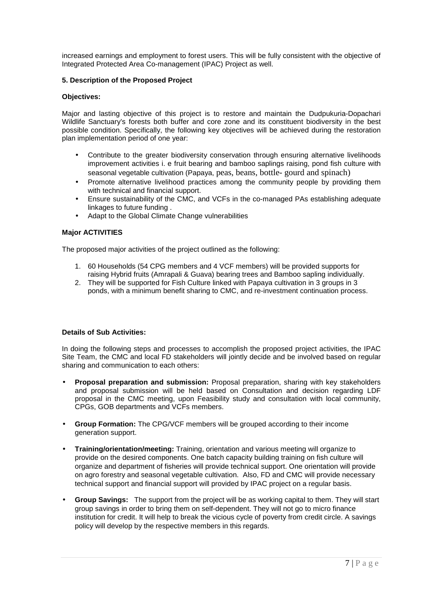increased earnings and employment to forest users. This will be fully consistent with the objective of Integrated Protected Area Co-management (IPAC) Project as well.

## **5. Description of the Proposed Project**

#### **Objectives:**

Major and lasting objective of this project is to restore and maintain the Dudpukuria-Dopachari Wildlife Sanctuary's forests both buffer and core zone and its constituent biodiversity in the best possible condition. Specifically, the following key objectives will be achieved during the restoration plan implementation period of one year:

- Contribute to the greater biodiversity conservation through ensuring alternative livelihoods improvement activities i. e fruit bearing and bamboo saplings raising, pond fish culture with seasonal vegetable cultivation (Papaya, peas, beans, bottle- gourd and spinach)
- Promote alternative livelihood practices among the community people by providing them with technical and financial support.
- Ensure sustainability of the CMC, and VCFs in the co-managed PAs establishing adequate linkages to future funding .
- Adapt to the Global Climate Change vulnerabilities

#### **Major ACTIVITIES**

The proposed major activities of the project outlined as the following:

- 1. 60 Households (54 CPG members and 4 VCF members) will be provided supports for raising Hybrid fruits (Amrapali & Guava) bearing trees and Bamboo sapling individually.
- 2. They will be supported for Fish Culture linked with Papaya cultivation in 3 groups in 3 ponds, with a minimum benefit sharing to CMC, and re-investment continuation process.

#### **Details of Sub Activities:**

In doing the following steps and processes to accomplish the proposed project activities, the IPAC Site Team, the CMC and local FD stakeholders will jointly decide and be involved based on regular sharing and communication to each others:

- **Proposal preparation and submission:** Proposal preparation, sharing with key stakeholders and proposal submission will be held based on Consultation and decision regarding LDF proposal in the CMC meeting, upon Feasibility study and consultation with local community, CPGs, GOB departments and VCFs members.
- **Group Formation:** The CPG/VCF members will be grouped according to their income generation support.
- **Training/orientation/meeting:** Training, orientation and various meeting will organize to provide on the desired components. One batch capacity building training on fish culture will organize and department of fisheries will provide technical support. One orientation will provide on agro forestry and seasonal vegetable cultivation. Also, FD and CMC will provide necessary technical support and financial support will provided by IPAC project on a regular basis.
- **Group Savings:** The support from the project will be as working capital to them. They will start group savings in order to bring them on self-dependent. They will not go to micro finance institution for credit. It will help to break the vicious cycle of poverty from credit circle. A savings policy will develop by the respective members in this regards.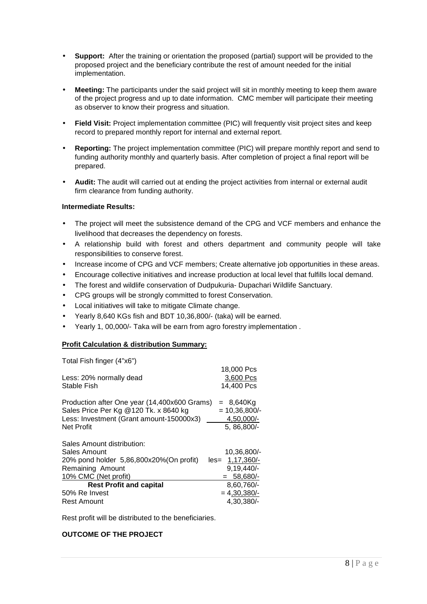- **Support:** After the training or orientation the proposed (partial) support will be provided to the proposed project and the beneficiary contribute the rest of amount needed for the initial implementation.
- **Meeting:** The participants under the said project will sit in monthly meeting to keep them aware of the project progress and up to date information. CMC member will participate their meeting as observer to know their progress and situation.
- **Field Visit:** Project implementation committee (PIC) will frequently visit project sites and keep record to prepared monthly report for internal and external report.
- **Reporting:** The project implementation committee (PIC) will prepare monthly report and send to funding authority monthly and quarterly basis. After completion of project a final report will be prepared.
- **Audit:** The audit will carried out at ending the project activities from internal or external audit firm clearance from funding authority.

## **Intermediate Results:**

- The project will meet the subsistence demand of the CPG and VCF members and enhance the livelihood that decreases the dependency on forests.
- A relationship build with forest and others department and community people will take responsibilities to conserve forest.
- Increase income of CPG and VCF members; Create alternative job opportunities in these areas.
- Encourage collective initiatives and increase production at local level that fulfills local demand.
- The forest and wildlife conservation of Dudpukuria- Dupachari Wildlife Sanctuary.
- CPG groups will be strongly committed to forest Conservation.
- Local initiatives will take to mitigate Climate change.
- Yearly 8,640 KGs fish and BDT 10,36,800/- (taka) will be earned.
- Yearly 1, 00,000/- Taka will be earn from agro forestry implementation .

## **Profit Calculation & distribution Summary:**

Total Fish finger (4"x6")

|                                              | 18,000 Pcs      |
|----------------------------------------------|-----------------|
| Less: 20% normally dead                      | 3,600 Pcs       |
| Stable Fish                                  | 14,400 Pcs      |
| Production after One year (14,400x600 Grams) | = 8,640Kg       |
| Sales Price Per Kg @120 Tk. x 8640 kg        | $= 10,36,800/$  |
| Less: Investment (Grant amount-150000x3)     | 4,50,000/-      |
| <b>Net Profit</b>                            | 5, 86, 800/-    |
| Sales Amount distribution:                   |                 |
| Sales Amount                                 | 10,36,800/-     |
| 20% pond holder 5,86,800x20% (On profit)     | les= 1,17,360/- |
| Remaining Amount                             | $9,19,440/-$    |
| 10% CMC (Net profit)                         | 58.680/-<br>$=$ |
| <b>Rest Profit and capital</b>               | 8,60,760/-      |
| 50% Re Invest                                | $= 4,30,380/-$  |
| <b>Rest Amount</b>                           | 4,30,380/-      |

Rest profit will be distributed to the beneficiaries.

## **OUTCOME OF THE PROJECT**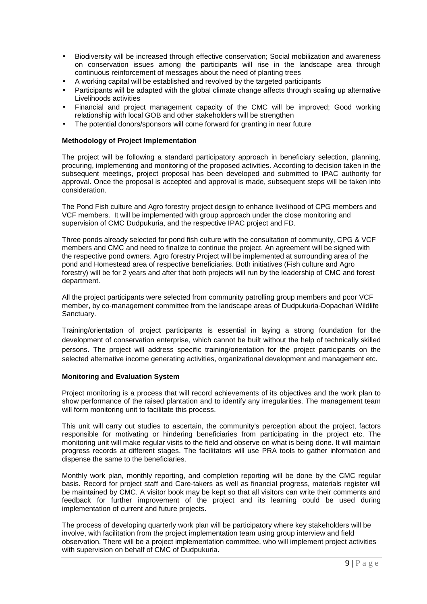- Biodiversity will be increased through effective conservation; Social mobilization and awareness on conservation issues among the participants will rise in the landscape area through continuous reinforcement of messages about the need of planting trees
- A working capital will be established and revolved by the targeted participants
- Participants will be adapted with the global climate change affects through scaling up alternative Livelihoods activities
- Financial and project management capacity of the CMC will be improved; Good working relationship with local GOB and other stakeholders will be strengthen
- The potential donors/sponsors will come forward for granting in near future

#### **Methodology of Project Implementation**

The project will be following a standard participatory approach in beneficiary selection, planning, procuring, implementing and monitoring of the proposed activities. According to decision taken in the subsequent meetings, project proposal has been developed and submitted to IPAC authority for approval. Once the proposal is accepted and approval is made, subsequent steps will be taken into consideration.

The Pond Fish culture and Agro forestry project design to enhance livelihood of CPG members and VCF members. It will be implemented with group approach under the close monitoring and supervision of CMC Dudpukuria, and the respective IPAC project and FD.

Three ponds already selected for pond fish culture with the consultation of community, CPG & VCF members and CMC and need to finalize to continue the project. An agreement will be signed with the respective pond owners. Agro forestry Project will be implemented at surrounding area of the pond and Homestead area of respective beneficiaries. Both initiatives (Fish culture and Agro forestry) will be for 2 years and after that both projects will run by the leadership of CMC and forest department.

All the project participants were selected from community patrolling group members and poor VCF member, by co-management committee from the landscape areas of Dudpukuria-Dopachari Wildlife Sanctuary.

Training/orientation of project participants is essential in laying a strong foundation for the development of conservation enterprise, which cannot be built without the help of technically skilled persons. The project will address specific training/orientation for the project participants on the selected alternative income generating activities, organizational development and management etc.

#### **Monitoring and Evaluation System**

Project monitoring is a process that will record achievements of its objectives and the work plan to show performance of the raised plantation and to identify any irregularities. The management team will form monitoring unit to facilitate this process.

This unit will carry out studies to ascertain, the community's perception about the project, factors responsible for motivating or hindering beneficiaries from participating in the project etc. The monitoring unit will make regular visits to the field and observe on what is being done. It will maintain progress records at different stages. The facilitators will use PRA tools to gather information and dispense the same to the beneficiaries.

Monthly work plan, monthly reporting, and completion reporting will be done by the CMC regular basis. Record for project staff and Care-takers as well as financial progress, materials register will be maintained by CMC. A visitor book may be kept so that all visitors can write their comments and feedback for further improvement of the project and its learning could be used during implementation of current and future projects.

The process of developing quarterly work plan will be participatory where key stakeholders will be involve, with facilitation from the project implementation team using group interview and field observation. There will be a project implementation committee, who will implement project activities with supervision on behalf of CMC of Dudpukuria.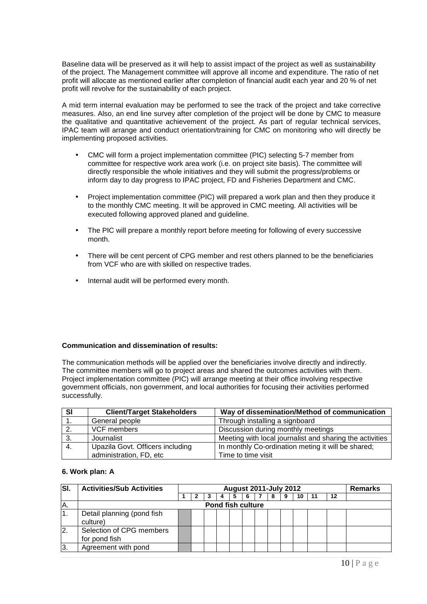Baseline data will be preserved as it will help to assist impact of the project as well as sustainability of the project. The Management committee will approve all income and expenditure. The ratio of net profit will allocate as mentioned earlier after completion of financial audit each year and 20 % of net profit will revolve for the sustainability of each project.

A mid term internal evaluation may be performed to see the track of the project and take corrective measures. Also, an end line survey after completion of the project will be done by CMC to measure the qualitative and quantitative achievement of the project. As part of regular technical services, IPAC team will arrange and conduct orientation/training for CMC on monitoring who will directly be implementing proposed activities.

- CMC will form a project implementation committee (PIC) selecting 5-7 member from committee for respective work area work (i.e. on project site basis). The committee will directly responsible the whole initiatives and they will submit the progress/problems or inform day to day progress to IPAC project, FD and Fisheries Department and CMC.
- Project implementation committee (PIC) will prepared a work plan and then they produce it to the monthly CMC meeting. It will be approved in CMC meeting. All activities will be executed following approved planed and guideline.
- The PIC will prepare a monthly report before meeting for following of every successive month.
- There will be cent percent of CPG member and rest others planned to be the beneficiaries from VCF who are with skilled on respective trades.
- Internal audit will be performed every month.

#### **Communication and dissemination of results:**

The communication methods will be applied over the beneficiaries involve directly and indirectly. The committee members will go to project areas and shared the outcomes activities with them. Project implementation committee (PIC) will arrange meeting at their office involving respective government officials, non government, and local authorities for focusing their activities performed successfully.

| -SI              | <b>Client/Target Stakeholders</b> | Way of dissemination/Method of communication             |
|------------------|-----------------------------------|----------------------------------------------------------|
|                  | General people                    | Through installing a signboard                           |
| $\overline{2}$ . | VCF members                       | Discussion during monthly meetings                       |
| 3.               | Journalist                        | Meeting with local journalist and sharing the activities |
| -4.              | Upazila Govt. Officers including  | In monthly Co-ordination meting it will be shared;       |
|                  | administration, FD, etc           | Time to time visit                                       |

#### **6. Work plan: A**

| <b>SI</b> | <b>Activities/Sub Activities</b>          | <b>August 2011-July 2012</b> |  |  |                          |  |  |  |  |    |  |    | <b>Remarks</b> |
|-----------|-------------------------------------------|------------------------------|--|--|--------------------------|--|--|--|--|----|--|----|----------------|
|           |                                           |                              |  |  |                          |  |  |  |  | 10 |  | 12 |                |
| A.        |                                           |                              |  |  | <b>Pond fish culture</b> |  |  |  |  |    |  |    |                |
| I1.       | Detail planning (pond fish<br>culture)    |                              |  |  |                          |  |  |  |  |    |  |    |                |
| 12.       | Selection of CPG members<br>for pond fish |                              |  |  |                          |  |  |  |  |    |  |    |                |
| 13.       | Agreement with pond                       |                              |  |  |                          |  |  |  |  |    |  |    |                |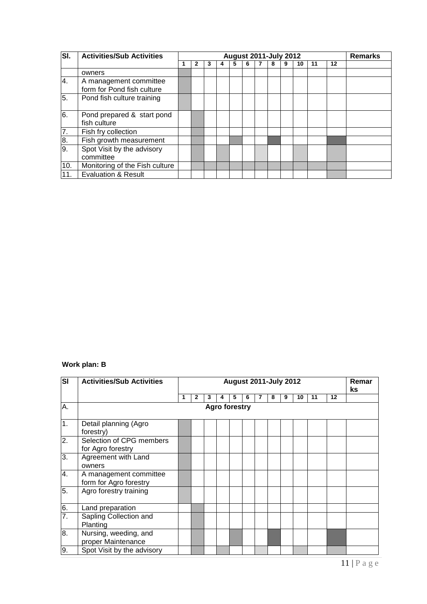| SI.              | <b>Activities/Sub Activities</b>                     |  |   | <b>August 2011-July 2012</b> |   |   |   |    |    |    | <b>Remarks</b> |
|------------------|------------------------------------------------------|--|---|------------------------------|---|---|---|----|----|----|----------------|
|                  |                                                      |  | 3 | 5                            | 6 | 8 | 9 | 10 | 11 | 12 |                |
|                  | owners                                               |  |   |                              |   |   |   |    |    |    |                |
| 4.               | A management committee<br>form for Pond fish culture |  |   |                              |   |   |   |    |    |    |                |
| 5.               | Pond fish culture training                           |  |   |                              |   |   |   |    |    |    |                |
| $\overline{6}$ . | Pond prepared & start pond<br>fish culture           |  |   |                              |   |   |   |    |    |    |                |
| 7.               | Fish fry collection                                  |  |   |                              |   |   |   |    |    |    |                |
| 8.               | Fish growth measurement                              |  |   |                              |   |   |   |    |    |    |                |
| $\overline{9}$ . | Spot Visit by the advisory<br>committee              |  |   |                              |   |   |   |    |    |    |                |
| 10.              | Monitoring of the Fish culture                       |  |   |                              |   |   |   |    |    |    |                |
| 11.              | <b>Evaluation &amp; Result</b>                       |  |   |                              |   |   |   |    |    |    |                |

## **Work plan: B**

| $\overline{\mathbf{s}}$ | <b>Activities/Sub Activities</b>                 | <b>August 2011-July 2012</b> |              |   |   |   |   |   |   |   |    |    | Remar<br>ks. |  |
|-------------------------|--------------------------------------------------|------------------------------|--------------|---|---|---|---|---|---|---|----|----|--------------|--|
|                         |                                                  |                              | $\mathbf{2}$ | 3 | 4 | 5 | 6 | 7 | 8 | 9 | 10 | 11 | 12           |  |
| A.                      | <b>Agro forestry</b>                             |                              |              |   |   |   |   |   |   |   |    |    |              |  |
| $\overline{1}$ .        | Detail planning (Agro<br>forestry)               |                              |              |   |   |   |   |   |   |   |    |    |              |  |
| $\overline{2}$ .        | Selection of CPG members<br>for Agro forestry    |                              |              |   |   |   |   |   |   |   |    |    |              |  |
| $\overline{3}$ .        | Agreement with Land<br>owners                    |                              |              |   |   |   |   |   |   |   |    |    |              |  |
| 4.                      | A management committee<br>form for Agro forestry |                              |              |   |   |   |   |   |   |   |    |    |              |  |
| 5.                      | Agro forestry training                           |                              |              |   |   |   |   |   |   |   |    |    |              |  |
| 6.                      | Land preparation                                 |                              |              |   |   |   |   |   |   |   |    |    |              |  |
| 7.                      | Sapling Collection and<br>Planting               |                              |              |   |   |   |   |   |   |   |    |    |              |  |
| 8.                      | Nursing, weeding, and<br>proper Maintenance      |                              |              |   |   |   |   |   |   |   |    |    |              |  |
| 9.                      | Spot Visit by the advisory                       |                              |              |   |   |   |   |   |   |   |    |    |              |  |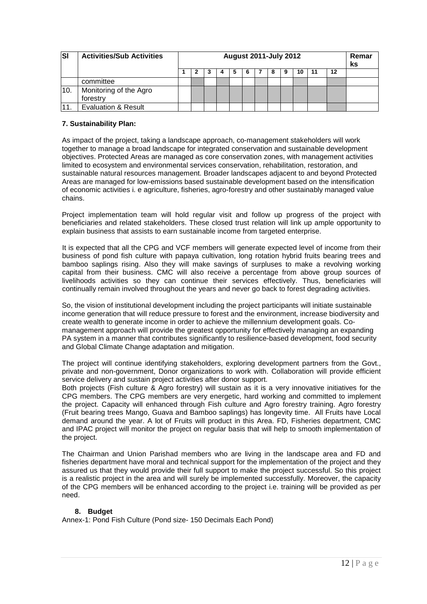| <b>SI</b> | <b>Activities/Sub Activities</b>   | <b>August 2011-July 2012</b> |  |  |  |   |  |  |  |    |    |    | Remar<br>ks |
|-----------|------------------------------------|------------------------------|--|--|--|---|--|--|--|----|----|----|-------------|
|           |                                    |                              |  |  |  | 6 |  |  |  | 10 | 11 | 12 |             |
|           | committee                          |                              |  |  |  |   |  |  |  |    |    |    |             |
| 10.       | Monitoring of the Agro<br>forestry |                              |  |  |  |   |  |  |  |    |    |    |             |
|           | <b>Evaluation &amp; Result</b>     |                              |  |  |  |   |  |  |  |    |    |    |             |

## **7. Sustainability Plan:**

As impact of the project, taking a landscape approach, co-management stakeholders will work together to manage a broad landscape for integrated conservation and sustainable development objectives. Protected Areas are managed as core conservation zones, with management activities limited to ecosystem and environmental services conservation, rehabilitation, restoration, and sustainable natural resources management. Broader landscapes adjacent to and beyond Protected Areas are managed for low-emissions based sustainable development based on the intensification of economic activities i. e agriculture, fisheries, agro-forestry and other sustainably managed value chains.

Project implementation team will hold regular visit and follow up progress of the project with beneficiaries and related stakeholders. These closed trust relation will link up ample opportunity to explain business that assists to earn sustainable income from targeted enterprise.

It is expected that all the CPG and VCF members will generate expected level of income from their business of pond fish culture with papaya cultivation, long rotation hybrid fruits bearing trees and bamboo saplings rising. Also they will make savings of surpluses to make a revolving working capital from their business. CMC will also receive a percentage from above group sources of livelihoods activities so they can continue their services effectively. Thus, beneficiaries will continually remain involved throughout the years and never go back to forest degrading activities.

So, the vision of institutional development including the project participants will initiate sustainable income generation that will reduce pressure to forest and the environment, increase biodiversity and create wealth to generate income in order to achieve the millennium development goals. Comanagement approach will provide the greatest opportunity for effectively managing an expanding PA system in a manner that contributes significantly to resilience-based development, food security and Global Climate Change adaptation and mitigation.

The project will continue identifying stakeholders, exploring development partners from the Govt., private and non-government, Donor organizations to work with. Collaboration will provide efficient service delivery and sustain project activities after donor support.

Both projects (Fish culture & Agro forestry) will sustain as it is a very innovative initiatives for the CPG members. The CPG members are very energetic, hard working and committed to implement the project. Capacity will enhanced through Fish culture and Agro forestry training. Agro forestry (Fruit bearing trees Mango, Guava and Bamboo saplings) has longevity time. All Fruits have Local demand around the year. A lot of Fruits will product in this Area. FD, Fisheries department, CMC and IPAC project will monitor the project on regular basis that will help to smooth implementation of the project.

The Chairman and Union Parishad members who are living in the landscape area and FD and fisheries department have moral and technical support for the implementation of the project and they assured us that they would provide their full support to make the project successful. So this project is a realistic project in the area and will surely be implemented successfully. Moreover, the capacity of the CPG members will be enhanced according to the project i.e. training will be provided as per need.

## **8. Budget**

Annex-1: Pond Fish Culture (Pond size- 150 Decimals Each Pond)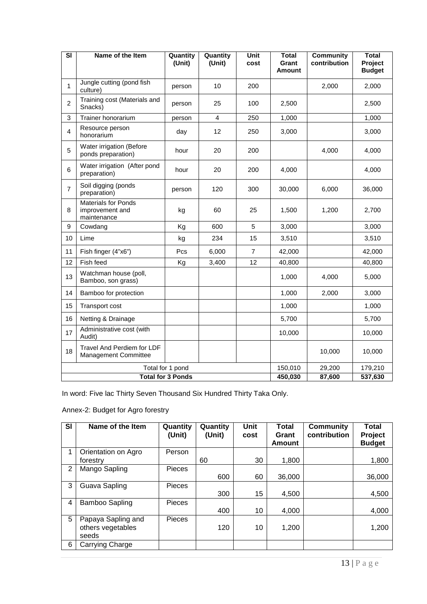| $\overline{\mathbf{s}}$ | Name of the Item                                             | Quantity<br>(Unit) | Quantity<br>(Unit) | Unit<br>cost   | <b>Total</b><br>Grant<br>Amount | <b>Community</b><br>contribution | <b>Total</b><br>Project<br><b>Budget</b> |
|-------------------------|--------------------------------------------------------------|--------------------|--------------------|----------------|---------------------------------|----------------------------------|------------------------------------------|
| $\mathbf 1$             | Jungle cutting (pond fish<br>culture)                        | person             | 10                 | 200            |                                 | 2,000                            | 2,000                                    |
| $\overline{2}$          | Training cost (Materials and<br>Snacks)                      | person             | 25                 | 100            | 2,500                           |                                  | 2,500                                    |
| 3                       | Trainer honorarium                                           | person             | $\overline{4}$     | 250            | 1,000                           |                                  | 1,000                                    |
| $\overline{4}$          | Resource person<br>honorarium                                | day                | 12                 | 250            | 3,000                           |                                  | 3,000                                    |
| 5                       | Water irrigation (Before<br>ponds preparation)               | hour               | 20                 | 200            |                                 | 4,000                            | 4,000                                    |
| 6                       | Water irrigation (After pond<br>preparation)                 | hour               | 20                 | 200            | 4,000                           |                                  | 4,000                                    |
| $\overline{7}$          | Soil digging (ponds<br>preparation)                          | person             | 120                | 300            | 30,000                          | 6,000                            | 36,000                                   |
| 8                       | <b>Materials for Ponds</b><br>improvement and<br>maintenance | kg                 | 60                 | 25             | 1,500                           | 1,200                            | 2,700                                    |
| 9                       | Cowdang                                                      | Kg                 | 600                | 5              | 3,000                           |                                  | 3,000                                    |
| 10                      | Lime                                                         | kg                 | 234                | 15             | 3,510                           |                                  | 3,510                                    |
| 11                      | Fish finger (4"x6")                                          | Pcs                | 6,000              | $\overline{7}$ | 42,000                          |                                  | 42,000                                   |
| 12                      | Fish feed                                                    | Kg                 | 3,400              | 12             | 40,800                          |                                  | 40,800                                   |
| 13                      | Watchman house (poll,<br>Bamboo, son grass)                  |                    |                    |                | 1,000                           | 4,000                            | 5,000                                    |
| 14                      | Bamboo for protection                                        |                    |                    |                | 1,000                           | 2,000                            | 3,000                                    |
| 15                      | <b>Transport cost</b>                                        |                    |                    |                | 1,000                           |                                  | 1,000                                    |
| 16                      | Netting & Drainage                                           |                    |                    |                | 5,700                           |                                  | 5,700                                    |
| 17                      | Administrative cost (with<br>Audit)                          |                    |                    |                | 10,000                          |                                  | 10,000                                   |
| 18                      | Travel And Perdiem for LDF<br><b>Management Committee</b>    |                    |                    |                |                                 | 10,000                           | 10,000                                   |
|                         |                                                              | Total for 1 pond   |                    |                | 150,010                         | 29,200                           | 179,210                                  |
|                         | <b>Total for 3 Ponds</b>                                     | 450,030            | 87,600             | 537,630        |                                 |                                  |                                          |

In word: Five lac Thirty Seven Thousand Six Hundred Thirty Taka Only.

# Annex-2: Budget for Agro forestry

| <b>SI</b> | Name of the Item                                 | Quantity<br>(Unit) | Quantity<br>(Unit) | Unit<br>cost | <b>Total</b><br>Grant<br>Amount | <b>Community</b><br>contribution | <b>Total</b><br>Project<br><b>Budget</b> |
|-----------|--------------------------------------------------|--------------------|--------------------|--------------|---------------------------------|----------------------------------|------------------------------------------|
|           | Orientation on Agro                              | Person             |                    |              |                                 |                                  |                                          |
|           | forestry                                         |                    | 60                 | 30           | 1,800                           |                                  | 1,800                                    |
| 2         | Mango Sapling                                    | <b>Pieces</b>      |                    |              |                                 |                                  |                                          |
|           |                                                  |                    | 600                | 60           | 36,000                          |                                  | 36,000                                   |
| 3         | Guava Sapling                                    | Pieces             |                    |              |                                 |                                  |                                          |
|           |                                                  |                    | 300                | 15           | 4,500                           |                                  | 4,500                                    |
| 4         | <b>Bamboo Sapling</b>                            | Pieces             |                    |              |                                 |                                  |                                          |
|           |                                                  |                    | 400                | 10           | 4,000                           |                                  | 4,000                                    |
| 5         | Papaya Sapling and<br>others vegetables<br>seeds | <b>Pieces</b>      | 120                | 10           | 1,200                           |                                  | 1,200                                    |
| 6         | Carrying Charge                                  |                    |                    |              |                                 |                                  |                                          |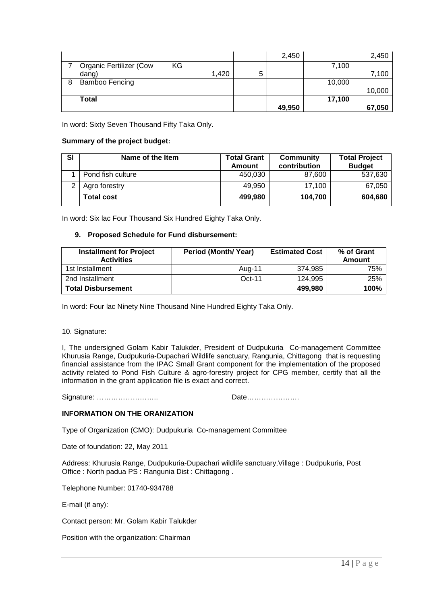|   |                                |    |       |   | 2,450  |        | 2,450  |
|---|--------------------------------|----|-------|---|--------|--------|--------|
|   | <b>Organic Fertilizer (Cow</b> | KG |       |   |        | 7,100  |        |
|   | dang)                          |    | 1,420 | 5 |        |        | 7,100  |
| 8 | Bamboo Fencing                 |    |       |   |        | 10,000 |        |
|   |                                |    |       |   |        |        | 10,000 |
|   | <b>Total</b>                   |    |       |   |        | 17,100 |        |
|   |                                |    |       |   | 49,950 |        | 67,050 |

In word: Sixty Seven Thousand Fifty Taka Only.

#### **Summary of the project budget:**

| SI | Name of the Item  | <b>Total Grant</b><br>Amount | Community<br>contribution | <b>Total Project</b><br><b>Budget</b> |
|----|-------------------|------------------------------|---------------------------|---------------------------------------|
|    | Pond fish culture | 450,030                      | 87,600                    | 537,630                               |
| っ  | Agro forestry     | 49,950                       | 17.100                    | 67,050                                |
|    | <b>Total cost</b> | 499.980                      | 104,700                   | 604,680                               |

In word: Six lac Four Thousand Six Hundred Eighty Taka Only.

## **9. Proposed Schedule for Fund disbursement:**

| <b>Installment for Project</b><br><b>Activities</b> | Period (Month/Year) | <b>Estimated Cost</b> | % of Grant<br>Amount |
|-----------------------------------------------------|---------------------|-----------------------|----------------------|
| 1st Installment                                     | Aug-11              | 374.985               | 75%                  |
| 2nd Installment                                     | $Oct-11$            | 124.995               | 25%                  |
| <b>Total Disbursement</b>                           |                     | 499.980               | 100%                 |

In word: Four lac Ninety Nine Thousand Nine Hundred Eighty Taka Only.

#### 10. Signature:

I, The undersigned Golam Kabir Talukder, President of Dudpukuria Co-management Committee Khurusia Range, Dudpukuria-Dupachari Wildlife sanctuary, Rangunia, Chittagong that is requesting financial assistance from the IPAC Small Grant component for the implementation of the proposed activity related to Pond Fish Culture & agro-forestry project for CPG member, certify that all the information in the grant application file is exact and correct.

Signature: …………………….. Date………………….

## **INFORMATION ON THE ORANIZATION**

Type of Organization (CMO): Dudpukuria Co-management Committee

Date of foundation: 22, May 2011

Address: Khurusia Range, Dudpukuria-Dupachari wildlife sanctuary,Village : Dudpukuria, Post Office : North padua PS : Rangunia Dist : Chittagong .

Telephone Number: 01740-934788

E-mail (if any):

Contact person: Mr. Golam Kabir Talukder

Position with the organization: Chairman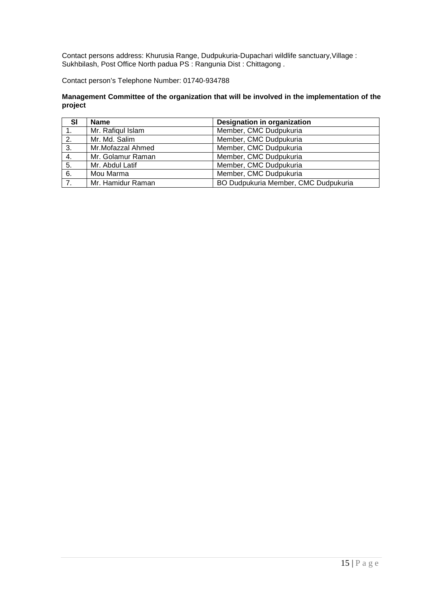Contact persons address: Khurusia Range, Dudpukuria-Dupachari wildlife sanctuary,Village : Sukhbilash, Post Office North padua PS : Rangunia Dist : Chittagong .

Contact person's Telephone Number: 01740-934788

## **Management Committee of the organization that will be involved in the implementation of the project**

| <b>SI</b> | <b>Name</b>       | Designation in organization          |
|-----------|-------------------|--------------------------------------|
|           | Mr. Rafiqul Islam | Member, CMC Dudpukuria               |
| 2.        | Mr. Md. Salim     | Member, CMC Dudpukuria               |
| 3.        | Mr.Mofazzal Ahmed | Member, CMC Dudpukuria               |
| 4.        | Mr. Golamur Raman | Member, CMC Dudpukuria               |
| 5.        | Mr. Abdul Latif   | Member, CMC Dudpukuria               |
| 6.        | Mou Marma         | Member, CMC Dudpukuria               |
| 7.        | Mr. Hamidur Raman | BO Dudpukuria Member, CMC Dudpukuria |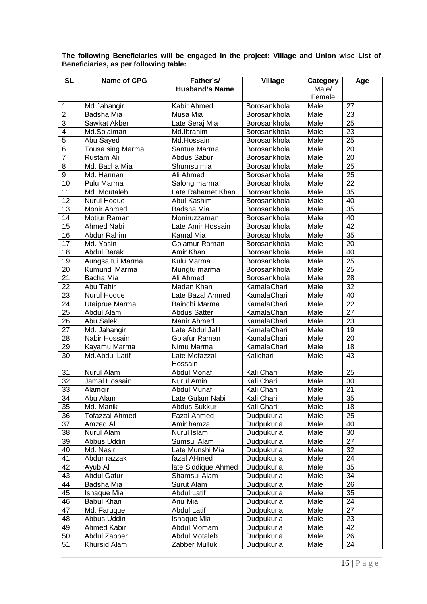| <b>SL</b>       | Name of CPG               | Father's/                           | <b>Village</b>           | Category        | Age             |
|-----------------|---------------------------|-------------------------------------|--------------------------|-----------------|-----------------|
|                 |                           | <b>Husband's Name</b>               |                          | Male/<br>Female |                 |
| $\mathbf 1$     | Md.Jahangir               | Kabir Ahmed                         | Borosankhola             | Male            | 27              |
| $\overline{c}$  | Badsha Mia                | Musa Mia                            | Borosankhola             | Male            | 23              |
| 3               | Sawkat Akber              | Late Seraj Mia                      | Borosankhola             | Male            | 25              |
| $\overline{4}$  | Md.Solaiman               | Md.Ibrahim                          | Borosankhola             | Male            | $\overline{23}$ |
| $\overline{5}$  | Abu Sayed                 | Md.Hossain                          | Borosankhola             | Male            | $\overline{25}$ |
| 6               | Tousa sing Marma          | Santue Marma                        | Borosankhola             | Male            | 20              |
| $\overline{7}$  | Rustam Ali                | Abdus Sabur                         | Borosankhola             | Male            | $\overline{20}$ |
| 8               | Md. Bacha Mia             | Shumsu mia                          | Borosankhola             | Male            | $\overline{25}$ |
| $\overline{9}$  | Md. Hannan                | Ali Ahmed                           | Borosankhola             | Male            | $\overline{25}$ |
| 10              | Pulu Marma                | Salong marma                        | Borosankhola             | Male            | $\overline{22}$ |
| 11              | Md. Moutaleb              | Late Rahamet Khan                   | Borosankhola             | Male            | $\overline{35}$ |
| 12              | Nurul Hoque               | Abul Kashim                         | Borosankhola             | Male            | 40              |
| 13              | Monir Ahmed               | Badsha Mia                          | Borosankhola             | Male            | 35              |
| 14              | Motiur Raman              | Moniruzzaman                        | Borosankhola             | Male            | 40              |
| 15              | Ahmed Nabi                | Late Amir Hossain                   | Borosankhola             | Male            | 42              |
| 16              | Abdur Rahim               | <b>Kamal Mia</b>                    | Borosankhola             | Male            | 35              |
| 17              | Md. Yasin                 | Golamur Raman                       | Borosankhola             | Male            | $\overline{20}$ |
| 18              | <b>Abdul Barak</b>        | Amir Khan                           | Borosankhola             | Male            | 40              |
| 19              | Aungsa tui Marma          | Kulu Marma                          | Borosankhola             | Male            | $\overline{25}$ |
| 20              | Kumundi Marma             | Mungtu marma                        | Borosankhola             | Male            | 25              |
| 21              | Bacha Mia                 | Ali Ahmed                           | Borosankhola             | Male            | 28              |
| 22              | Abu Tahir                 | Madan Khan                          | KamalaChari              | Male            | 32              |
| 23              | Nurul Hoque               | Late Bazal Ahmed                    | KamalaChari              | Male            | 40              |
| 24              | Utaiprue Marma            | Bainchi Marma                       | KamalaChari              | Male            | 22              |
| 25              | Abdul Alam                | <b>Abdus Satter</b>                 | KamalaChari              | Male            | 27              |
| 26              | Abu Salek                 | Manir Ahmed                         | KamalaChari              | Male            | 23              |
| 27              | Md. Jahangir              | Late Abdul Jalil                    | KamalaChari              | Male            | 19              |
| 28              | Nabir Hossain             | Golafur Raman                       | KamalaChari              | Male            | 20              |
| 29              | Kayamu Marma              | Nimu Marma                          | KamalaChari              | Male            | 18              |
| 30              | Md.Abdul Latif            | Late Mofazzal                       | Kalichari                | Male            | 43              |
|                 |                           | Hossain                             |                          |                 |                 |
| 31              | Nurul Alam                | <b>Abdul Monaf</b>                  | Kali Chari               | Male            | 25              |
| $\overline{32}$ | Jamal Hossain             | Nurul Amin                          | Kali Chari               | Male            | $\overline{30}$ |
| 33              | Alamgir                   | Abdul Munaf                         | Kali Chari               | Male            | $\overline{21}$ |
| 34              | Abu Alam                  | Late Gulam Nabi                     | Kali Chari               | Male            | $\overline{35}$ |
| 35              | Md. Manik                 | Abdus Sukkur                        | Kali Chari               | Male            | 18              |
| 36              | <b>Tofazzal Ahmed</b>     | Fazal Ahmed                         | Dudpukuria               | Male            | 25              |
| 37              | Amzad Ali                 | Amir hamza                          | Dudpukuria               | Male            | 40              |
| 38              | Nurul Alam                | Nurul Islam                         | Dudpukuria               | Male            | 30              |
| 39              | Abbus Uddin               | Sumsul Alam                         | Dudpukuria               | Male            | 27              |
| 40              | Md. Nasir                 | Late Munshi Mia<br>fazal AHmed      | Dudpukuria<br>Dudpukuria | Male<br>Male    | 32<br>24        |
| 41<br>42        | Abdur razzak              |                                     |                          |                 | 35              |
| 43              | Ayub Ali                  | late Siddique Ahmed<br>Shamsul Alam | Dudpukuria               | Male<br>Male    | 34              |
| 44              | <b>Abdul Gafur</b>        | Surut Alam                          | Dudpukuria               |                 | 26              |
| 45              | Badsha Mia<br>Ishaque Mia | <b>Abdul Latif</b>                  | Dudpukuria<br>Dudpukuria | Male<br>Male    | 35              |
| 46              | <b>Babul Khan</b>         | Anu Mia                             | Dudpukuria               | Male            | 24              |
| 47              | Md. Faruque               | <b>Abdul Latif</b>                  | Dudpukuria               | Male            | 27              |
| 48              | Abbus Uddin               | Ishaque Mia                         | Dudpukuria               | Male            | 23              |
| 49              | Ahmed Kabir               | Abdul Momam                         | Dudpukuria               | Male            | 42              |
| 50              | Abdul Zabber              | Abdul Motaleb                       | Dudpukuria               | Male            | 26              |
| 51              | Khursid Alam              | Zabber Mulluk                       | Dudpukuria               | Male            | 24              |
|                 |                           |                                     |                          |                 |                 |

**The following Beneficiaries will be engaged in the project: Village and Union wise List of Beneficiaries, as per following table:**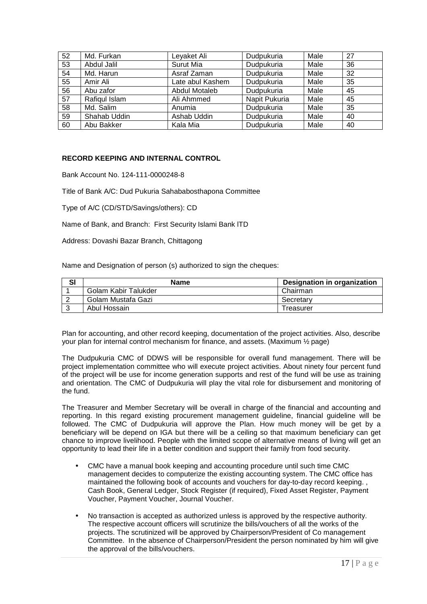| 52 | Md. Furkan    | Leyaket Ali          | Dudpukuria    | Male | 27 |
|----|---------------|----------------------|---------------|------|----|
| 53 | Abdul Jalil   | Surut Mia            | Dudpukuria    | Male | 36 |
| 54 | Md. Harun     | Asraf Zaman          | Dudpukuria    | Male | 32 |
| 55 | Amir Ali      | Late abul Kashem     | Dudpukuria    | Male | 35 |
| 56 | Abu zafor     | <b>Abdul Motaleb</b> | Dudpukuria    | Male | 45 |
| 57 | Rafiqul Islam | Ali Ahmmed           | Napit Pukuria | Male | 45 |
| 58 | Md. Salim     | Anumia               | Dudpukuria    | Male | 35 |
| 59 | Shahab Uddin  | Ashab Uddin          | Dudpukuria    | Male | 40 |
| 60 | Abu Bakker    | Kala Mia             | Dudpukuria    | Male | 40 |

## **RECORD KEEPING AND INTERNAL CONTROL**

Bank Account No. 124-111-0000248-8

Title of Bank A/C: Dud Pukuria Sahababosthapona Committee

Type of A/C (CD/STD/Savings/others): CD

Name of Bank, and Branch: First Security Islami Bank lTD

Address: Dovashi Bazar Branch, Chittagong

Name and Designation of person (s) authorized to sign the cheques:

| SI | <b>Name</b>          | Designation in organization |
|----|----------------------|-----------------------------|
|    | Golam Kabir Talukder | Chairman                    |
|    | Golam Mustafa Gazi   | Secretary                   |
|    | Abul Hossain         | Treasurer                   |

Plan for accounting, and other record keeping, documentation of the project activities. Also, describe your plan for internal control mechanism for finance, and assets. (Maximum ½ page)

The Dudpukuria CMC of DDWS will be responsible for overall fund management. There will be project implementation committee who will execute project activities. About ninety four percent fund of the project will be use for income generation supports and rest of the fund will be use as training and orientation. The CMC of Dudpukuria will play the vital role for disbursement and monitoring of the fund.

The Treasurer and Member Secretary will be overall in charge of the financial and accounting and reporting. In this regard existing procurement management guideline, financial guideline will be followed. The CMC of Dudpukuria will approve the Plan. How much money will be get by a beneficiary will be depend on IGA but there will be a ceiling so that maximum beneficiary can get chance to improve livelihood. People with the limited scope of alternative means of living will get an opportunity to lead their life in a better condition and support their family from food security.

- CMC have a manual book keeping and accounting procedure until such time CMC management decides to computerize the existing accounting system. The CMC office has maintained the following book of accounts and vouchers for day-to-day record keeping. , Cash Book, General Ledger, Stock Register (if required), Fixed Asset Register, Payment Voucher, Payment Voucher, Journal Voucher.
- No transaction is accepted as authorized unless is approved by the respective authority. The respective account officers will scrutinize the bills/vouchers of all the works of the projects. The scrutinized will be approved by Chairperson/President of Co management Committee. In the absence of Chairperson/President the person nominated by him will give the approval of the bills/vouchers.